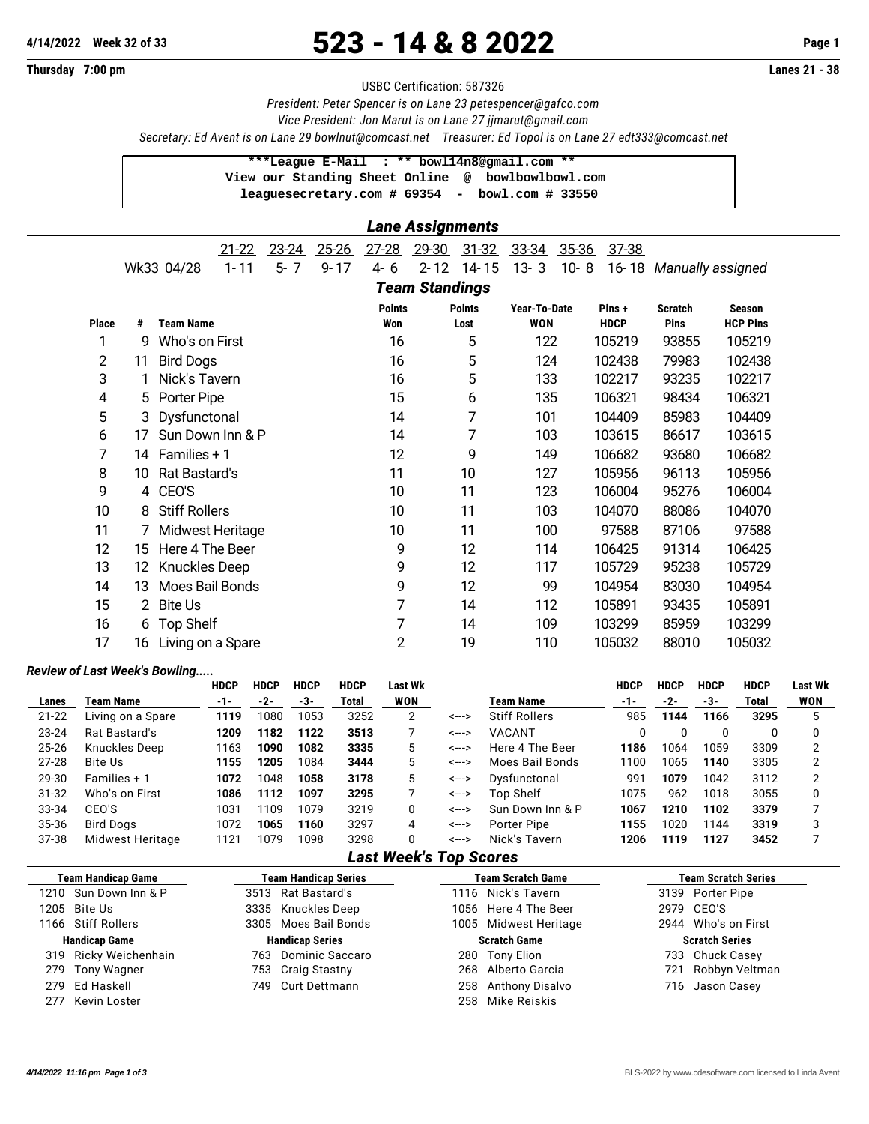# **4/14/2022 Week 32 of 33** 523 - 14 & 8 2022 **Page 1**

**Thursday 7:00 pm Lanes 21 - 38**

#### USBC Certification: 587326

*President: Peter Spencer is on Lane 23 [petespencer@gafco.com](mailto:petespencer@gafco.com)*

*Vice President: Jon Marut is on Lane 27 [jjmarut@gmail.com](mailto:jjmarut@gmail.com)*

*Secretary: Ed Avent is on Lane 29 [bowlnut@comcast.net](mailto:bowlnut@comcast.net) Treasurer: Ed Topol is on Lane 27 [edt333@comcast.net](mailto:edt333@comcast.net)*

### **\*\*\*League E-Mail : \*\* [bowl14n8@gmail.com](mailto:bowl14n8@gmail.com) \*\***

 **View our Standing Sheet Online [@](mailto:@) bowlbowlbowl.com leaguesecretary.com # 69354 - bowl.com # 33550**

|  |  |  | 21-22 23-24 25-26 27-28 29-30 31-32 33-34 35-36 37-38 |  |  |                                                                           |
|--|--|--|-------------------------------------------------------|--|--|---------------------------------------------------------------------------|
|  |  |  |                                                       |  |  | Wk33 04/28 1-11 5-7 9-17 4-6 2-12 14-15 13-3 10-8 16-18 Manually assigned |

## *Team Standings*

| Place | #   | <b>Team Name</b>     | <b>Points</b><br>Won | <b>Points</b><br>Lost | Year-To-Date<br><b>WON</b> | Pins+<br><b>HDCP</b> | <b>Scratch</b><br><b>Pins</b> | <b>Season</b><br><b>HCP Pins</b> |
|-------|-----|----------------------|----------------------|-----------------------|----------------------------|----------------------|-------------------------------|----------------------------------|
| 1     | 9   | Who's on First       | 16                   | 5                     | 122                        | 105219               | 93855                         | 105219                           |
| 2     | 11  | <b>Bird Dogs</b>     | 16                   | 5                     | 124                        | 102438               | 79983                         | 102438                           |
| 3     |     | Nick's Tavern        | 16                   | 5                     | 133                        | 102217               | 93235                         | 102217                           |
| 4     | 5.  | Porter Pipe          | 15                   | 6                     | 135                        | 106321               | 98434                         | 106321                           |
| 5     |     | 3 Dysfunctonal       | 14                   | 7                     | 101                        | 104409               | 85983                         | 104409                           |
| 6     | 17  | Sun Down Inn & P     | 14                   | 7                     | 103                        | 103615               | 86617                         | 103615                           |
| 7     | 14  | Families $+1$        | 12                   | 9                     | 149                        | 106682               | 93680                         | 106682                           |
| 8     | 10  | Rat Bastard's        | 11                   | 10                    | 127                        | 105956               | 96113                         | 105956                           |
| 9     |     | 4 CEO'S              | 10                   | 11                    | 123                        | 106004               | 95276                         | 106004                           |
| 10    | 8   | <b>Stiff Rollers</b> | 10                   | 11                    | 103                        | 104070               | 88086                         | 104070                           |
| 11    |     | Midwest Heritage     | 10                   | 11                    | 100                        | 97588                | 87106                         | 97588                            |
| 12    | 15  | Here 4 The Beer      | 9                    | 12                    | 114                        | 106425               | 91314                         | 106425                           |
| 13    | 12. | <b>Knuckles Deep</b> | 9                    | 12                    | 117                        | 105729               | 95238                         | 105729                           |
| 14    | 13  | Moes Bail Bonds      | 9                    | 12                    | 99                         | 104954               | 83030                         | 104954                           |
| 15    |     | 2 Bite Us            | 7                    | 14                    | 112                        | 105891               | 93435                         | 105891                           |
| 16    | 6   | <b>Top Shelf</b>     | 7                    | 14                    | 109                        | 103299               | 85959                         | 103299                           |
| 17    | 16  | Living on a Spare    | $\overline{c}$       | 19                    | 110                        | 105032               | 88010                         | 105032                           |

#### *Review of Last Week's Bowling.....*

|           |                   | <b>HDCP</b> | <b>HDCP</b> | <b>HDCP</b> | <b>HDCP</b> | <b>Last Wk</b> |       |                      | <b>HDCP</b> | <b>HDCP</b> | <b>HDCP</b> | <b>HDCP</b> | <b>Last Wk</b> |
|-----------|-------------------|-------------|-------------|-------------|-------------|----------------|-------|----------------------|-------------|-------------|-------------|-------------|----------------|
| Lanes     | Team Name         | -1-         | $-2-$       | -3-         | Total       | <b>WON</b>     |       | Team Name            | -1-         | -2-         | -3-         | Total       | <b>WON</b>     |
| $21 - 22$ | Living on a Spare | 1119        | 1080        | 1053        | 3252        | 2              | <---> | <b>Stiff Rollers</b> | 985         | 1144        | 1166        | 3295        |                |
| $23 - 24$ | Rat Bastard's     | 1209        | 1182        | 1122        | 3513        |                | <---> | <b>VACANT</b>        |             | 0           | 0           |             |                |
| 25-26     | Knuckles Deep     | 1163        | 1090        | 1082        | 3335        | 5              | <---> | Here 4 The Beer      | 1186        | 1064        | 1059        | 3309        | C              |
| $27 - 28$ | Bite Us           | 1155        | 1205        | 1084        | 3444        | 5              | <---> | Moes Bail Bonds      | 1100        | 1065        | 1140        | 3305        |                |
| 29-30     | Families + 1      | 1072        | 1048        | 1058        | 3178        | 5              | <---> | Dysfunctonal         | 991         | 1079        | 1042        | 3112        | C              |
| $31 - 32$ | Who's on First    | 1086        | 1112        | 1097        | 3295        |                | <---> | Top Shelf            | 1075        | 962         | 1018        | 3055        |                |
| 33-34     | CEO'S             | 1031        | 1109        | 1079        | 3219        | 0              | <---> | Sun Down Inn & P     | 1067        | 1210        | 1102        | 3379        |                |
| 35-36     | Bird Dogs         | 1072        | 1065        | 1160        | 3297        | 4              | <---> | Porter Pipe          | 1155        | 1020        | 1144        | 3319        | 3              |
| 37-38     | Midwest Heritage  | 1121        | 1079        | 1098        | 3298        | 0              | <---> | Nick's Tavern        | 1206        | 1119        | 1127        | 3452        |                |

### *Last Week's Top Scores*

| <b>Team Handicap Game</b> |                        | <b>Team Handicap Series</b> |                     | <b>Team Scratch Game</b> | <b>Team Scratch Series</b> |
|---------------------------|------------------------|-----------------------------|---------------------|--------------------------|----------------------------|
| 1210 Sun Down Inn & P     |                        | 3513 Rat Bastard's          |                     | 1116 Nick's Tavern       | 3139 Porter Pipe           |
| 1205 Bite Us              |                        | 3335 Knuckles Deep          |                     | 1056 Here 4 The Beer     | 2979 CEO'S                 |
| 1166 Stiff Rollers        |                        | 3305 Moes Bail Bonds        |                     | 1005 Midwest Heritage    | 2944 Who's on First        |
| <b>Handicap Game</b>      | <b>Handicap Series</b> |                             | <b>Scratch Game</b> |                          | <b>Scratch Series</b>      |
| 319 Ricky Weichenhain     |                        | 763 Dominic Saccaro         |                     | 280 Tony Elion           | 733 Chuck Casey            |
| 279 Tony Wagner           |                        | 753 Craig Stastny           |                     | 268 Alberto Garcia       | 721 Robbyn Veltman         |
| 279 Ed Haskell            | 749                    | Curt Dettmann               | 258                 | Anthony Disalvo          | 716 Jason Casey            |
| 277 Kevin Loster          |                        |                             | 258.                | Mike Reiskis             |                            |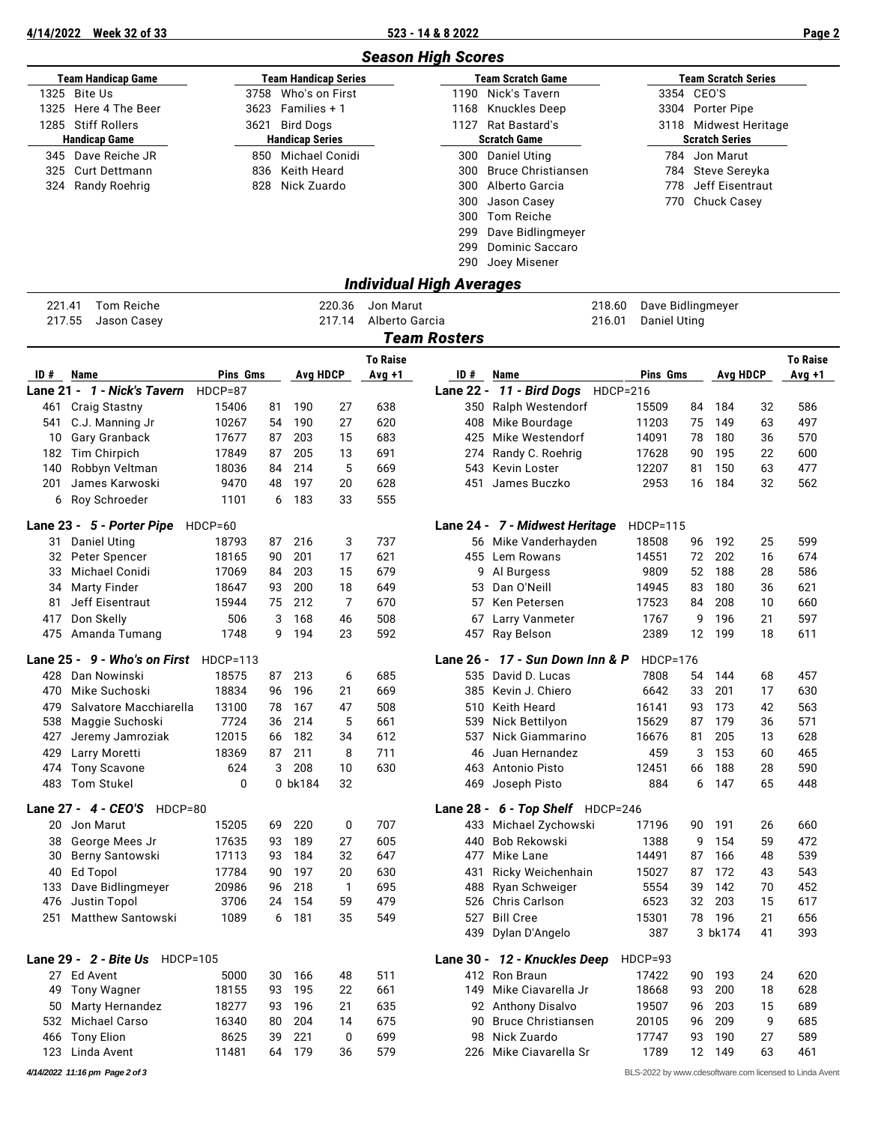**4/14/2022 Week 32 of 33 523 - 14 & 8 2022 Page 2**

|            |                                          |                 |          |                        |                             |                 | <b>Season High Scores</b> |                                  |                 |                     |            |                            |          |                                                         |
|------------|------------------------------------------|-----------------|----------|------------------------|-----------------------------|-----------------|---------------------------|----------------------------------|-----------------|---------------------|------------|----------------------------|----------|---------------------------------------------------------|
|            | <b>Team Handicap Game</b>                |                 |          |                        | <b>Team Handicap Series</b> |                 |                           | <b>Team Scratch Game</b>         |                 |                     |            | <b>Team Scratch Series</b> |          |                                                         |
| 1325       | Bite Us                                  | 3758            |          |                        | Who's on First              |                 | 1190                      | Nick's Tavern                    |                 |                     | 3354 CEO'S |                            |          |                                                         |
| 1325       | Here 4 The Beer                          | 3623            |          | Families + 1           |                             |                 | 1168                      | <b>Knuckles Deep</b>             |                 |                     |            | 3304 Porter Pipe           |          |                                                         |
|            | 1285 Stiff Rollers                       | 3621            |          | <b>Bird Dogs</b>       |                             |                 | 1127                      | Rat Bastard's                    |                 |                     |            | 3118 Midwest Heritage      |          |                                                         |
|            | <b>Handicap Game</b>                     |                 |          | <b>Handicap Series</b> |                             |                 |                           | <b>Scratch Game</b>              |                 |                     |            | <b>Scratch Series</b>      |          |                                                         |
|            | 345 Dave Reiche JR                       | 850             |          |                        | Michael Conidi              |                 | 300                       | Daniel Uting                     |                 |                     |            | 784 Jon Marut              |          |                                                         |
| 325        | <b>Curt Dettmann</b>                     | 836             |          | Keith Heard            |                             |                 | 300                       | <b>Bruce Christiansen</b>        |                 | 784                 |            | Steve Sereyka              |          |                                                         |
| 324        | <b>Randy Roehrig</b>                     | 828             |          | Nick Zuardo            |                             |                 | 300                       | Alberto Garcia                   |                 | 778                 |            | Jeff Eisentraut            |          |                                                         |
|            |                                          |                 |          |                        |                             |                 | 300                       | Jason Casey                      |                 | 770                 |            | <b>Chuck Casey</b>         |          |                                                         |
|            |                                          |                 |          |                        |                             |                 | 300                       | <b>Tom Reiche</b>                |                 |                     |            |                            |          |                                                         |
|            |                                          |                 |          |                        |                             |                 | 299                       | Dave Bidlingmeyer                |                 |                     |            |                            |          |                                                         |
|            |                                          |                 |          |                        |                             |                 | 299                       | <b>Dominic Saccaro</b>           |                 |                     |            |                            |          |                                                         |
|            |                                          |                 |          |                        |                             |                 | 290                       | Joey Misener                     |                 |                     |            |                            |          |                                                         |
| 221.41     | Tom Reiche                               |                 |          |                        | 220.36                      | Jon Marut       | Individual High Averages  |                                  | 218.60          | Dave Bidlingmeyer   |            |                            |          |                                                         |
| 217.55     | Jason Casey                              |                 |          |                        | 217.14                      | Alberto Garcia  |                           |                                  | 216.01          | <b>Daniel Uting</b> |            |                            |          |                                                         |
|            |                                          |                 |          |                        |                             |                 | <b>Team Rosters</b>       |                                  |                 |                     |            |                            |          |                                                         |
|            |                                          |                 |          |                        |                             |                 |                           |                                  |                 |                     |            |                            |          |                                                         |
|            |                                          |                 |          |                        |                             | <b>To Raise</b> |                           |                                  |                 |                     |            |                            |          | <b>To Raise</b>                                         |
| ID#        | Name                                     | Pins Gms        |          |                        | Avg HDCP                    | $Avg +1$        | ID #                      | Name                             |                 | Pins Gms            |            | <b>Avg HDCP</b>            |          | Avg +1                                                  |
|            | Lane 21 - 1 - Nick's Tavern              | $HDCP=87$       |          |                        |                             |                 |                           | Lane 22 - 11 - Bird Dogs         | <b>HDCP=216</b> |                     |            |                            |          |                                                         |
| 461        | <b>Craig Stastny</b>                     | 15406           | 81       | 190                    | 27                          | 638             | 350                       | <b>Ralph Westendorf</b>          |                 | 15509               | 84         | 184                        | 32       | 586                                                     |
| 541        | C.J. Manning Jr                          | 10267           | 54       | 190                    | 27                          | 620             | 408                       | Mike Bourdage                    |                 | 11203               | 75         | 149                        | 63       | 497                                                     |
| 10         | Gary Granback                            | 17677           | 87       | 203                    | 15                          | 683             | 425                       | Mike Westendorf                  |                 | 14091               | 78         | 180                        | 36       | 570                                                     |
| 182<br>140 | Tim Chirpich<br>Robbyn Veltman           | 17849<br>18036  | 87<br>84 | 205<br>214             | 13<br>5                     | 691<br>669      | 274<br>543                | Randy C. Roehrig<br>Kevin Loster |                 | 17628<br>12207      | 90<br>81   | 195<br>150                 | 22<br>63 | 600<br>477                                              |
| 201        | James Karwoski                           | 9470            | 48       | 197                    | 20                          | 628             | 451                       | James Buczko                     |                 | 2953                | 16         | 184                        | 32       | 562                                                     |
|            | 6 Roy Schroeder                          | 1101            | 6        | 183                    | 33                          | 555             |                           |                                  |                 |                     |            |                            |          |                                                         |
|            |                                          |                 |          |                        |                             |                 |                           |                                  |                 |                     |            |                            |          |                                                         |
|            | Lane 23 - 5 - Porter Pipe                | HDCP=60         |          |                        |                             |                 |                           | Lane 24 - 7 - Midwest Heritage   |                 | <b>HDCP=115</b>     |            |                            |          |                                                         |
| 31         | <b>Daniel Uting</b>                      | 18793           | 87       | 216                    | 3                           | 737             |                           | 56 Mike Vanderhayden             |                 | 18508               | 96         | 192                        | 25       | 599                                                     |
| 32         | Peter Spencer                            | 18165           | 90       | 201                    | 17                          | 621             |                           | 455 Lem Rowans                   |                 | 14551               | 72         | 202                        | 16       | 674                                                     |
| 33         | Michael Conidi                           | 17069           | 84       | 203                    | 15                          | 679             | 9                         | Al Burgess                       |                 | 9809                | 52         | 188                        | 28       | 586                                                     |
| 34         | <b>Marty Finder</b>                      | 18647           | 93       | 200                    | 18                          | 649             | 53                        | Dan O'Neill                      |                 | 14945               | 83         | 180                        | 36       | 621                                                     |
| 81         | Jeff Eisentraut                          | 15944           | 75       | 212                    | 7                           | 670             | 57                        | Ken Petersen                     |                 | 17523               | 84         | 208                        | 10       | 660                                                     |
| 417        | Don Skelly                               | 506             | 3        | 168                    | 46                          | 508             | 67                        | Larry Vanmeter                   |                 | 1767                | 9          | 196                        | 21       | 597                                                     |
|            | 475 Amanda Tumang                        | 1748            | 9        | 194                    | 23                          | 592             |                           | 457 Ray Belson                   |                 | 2389                | 12         | 199                        | 18       | 611                                                     |
|            | Lane 25 - 9 - Who's on First             | <b>HDCP=113</b> |          |                        |                             |                 | Lane 26 -                 | 17 - Sun Down Inn & P            |                 | $HDCP = 176$        |            |                            |          |                                                         |
|            | 428 Dan Nowinski                         | 18575           | 87       | 213                    | 6                           | 685             |                           | 535 David D. Lucas               |                 | 7808                | 54         | 144                        | 68       | 457                                                     |
| 470        | Mike Suchoski                            | 18834           | 96       | 196                    | 21                          | 669             | 385                       | Kevin J. Chiero                  |                 | 6642                | 33         | 201                        | 17       | 630                                                     |
| 479        | Salvatore Macchiarella                   | 13100           | 78       | 167                    | 47                          | 508             | 510                       | Keith Heard                      |                 | 16141               | 93         | 173                        | 42       | 563                                                     |
| 538        | Maggie Suchoski                          | 7724            | 36       | 214                    | 5                           | 661             | 539                       | Nick Bettilyon                   |                 | 15629               | 87         | 179                        | 36       | 571                                                     |
| 427        | Jeremy Jamroziak                         | 12015           | 66       | 182                    | 34                          | 612             | 537                       | Nick Giammarino                  |                 | 16676               | 81         | 205                        | 13       | 628                                                     |
| 429        | Larry Moretti                            | 18369<br>624    | 87<br>3  | 211<br>208             | 8<br>10                     | 711<br>630      | 46                        | Juan Hernandez<br>Antonio Pisto  |                 | 459<br>12451        | 3          | 153<br>188                 | 60<br>28 | 465<br>590                                              |
| 474<br>483 | <b>Tony Scavone</b><br><b>Tom Stukel</b> | 0               |          | 0 bk184                | 32                          |                 | 463<br>469                | Joseph Pisto                     |                 | 884                 | 66<br>6    | 147                        | 65       | 448                                                     |
|            |                                          |                 |          |                        |                             |                 |                           |                                  |                 |                     |            |                            |          |                                                         |
|            | Lane 27 - 4 - CEO'S HDCP=80              |                 |          |                        |                             |                 |                           | Lane 28 - 6 - Top Shelf HDCP=246 |                 |                     |            |                            |          |                                                         |
| 20         | Jon Marut                                | 15205           | 69       | 220                    | 0                           | 707             |                           | 433 Michael Zychowski            |                 | 17196               | 90         | 191                        | 26       | 660                                                     |
| 38         | George Mees Jr                           | 17635           | 93       | 189                    | 27                          | 605             | 440                       | Bob Rekowski                     |                 | 1388                | 9          | 154                        | 59       | 472                                                     |
| 30         | Berny Santowski                          | 17113           | 93       | 184                    | 32                          | 647             | 477                       | Mike Lane                        |                 | 14491               | 87         | 166                        | 48       | 539                                                     |
| 40         | Ed Topol                                 | 17784           | 90       | 197                    | 20                          | 630             | 431                       | Ricky Weichenhain                |                 | 15027               | 87         | 172                        | 43       | 543                                                     |
| 133        | Dave Bidlingmeyer<br>Justin Topol        | 20986<br>3706   | 96       | 218<br>154             | $\mathbf{1}$<br>59          | 695<br>479      | 488                       | Ryan Schweiger<br>Chris Carlson  |                 | 5554<br>6523        | 39<br>32   | 142<br>203                 | 70<br>15 | 452<br>617                                              |
| 476<br>251 | <b>Matthew Santowski</b>                 | 1089            | 24<br>6  | 181                    | 35                          | 549             | 526<br>527                | <b>Bill Cree</b>                 |                 | 15301               | 78         | 196                        | 21       | 656                                                     |
|            |                                          |                 |          |                        |                             |                 | 439                       | Dylan D'Angelo                   |                 | 387                 |            | 3 bk174                    | 41       | 393                                                     |
|            | Lane 29 - 2 - Bite Us<br><b>HDCP=105</b> |                 |          |                        |                             |                 |                           | Lane 30 - 12 - Knuckles Deep     |                 | HDCP=93             |            |                            |          |                                                         |
|            | 27 Ed Avent                              | 5000            | 30       | 166                    | 48                          | 511             |                           | 412 Ron Braun                    |                 | 17422               | 90         | 193                        | 24       | 620                                                     |
|            | 49 Tony Wagner                           | 18155           | 93       | 195                    | 22                          | 661             | 149                       | Mike Ciavarella Jr               |                 | 18668               | 93         | 200                        | 18       | 628                                                     |
| 50         | Marty Hernandez                          | 18277           | 93       | 196                    | 21                          | 635             | 92                        | <b>Anthony Disalvo</b>           |                 | 19507               | 96         | 203                        | 15       | 689                                                     |
| 532        | Michael Carso                            | 16340           | 80       | 204                    | 14                          | 675             | 90                        | <b>Bruce Christiansen</b>        |                 | 20105               | 96         | 209                        | 9        | 685                                                     |
| 466        | <b>Tony Elion</b>                        | 8625            | 39       | 221                    | 0                           | 699             | 98                        | Nick Zuardo                      |                 | 17747               | 93         | 190                        | 27       | 589                                                     |
| 123        | Linda Avent                              | 11481           | 64       | 179                    | 36                          | 579             | 226                       | Mike Ciavarella Sr               |                 | 1789                | 12         | 149                        | 63       | 461                                                     |
|            | 4/14/2022 11:16 pm Page 2 of 3           |                 |          |                        |                             |                 |                           |                                  |                 |                     |            |                            |          | BLS-2022 by www.cdesoftware.com licensed to Linda Avent |